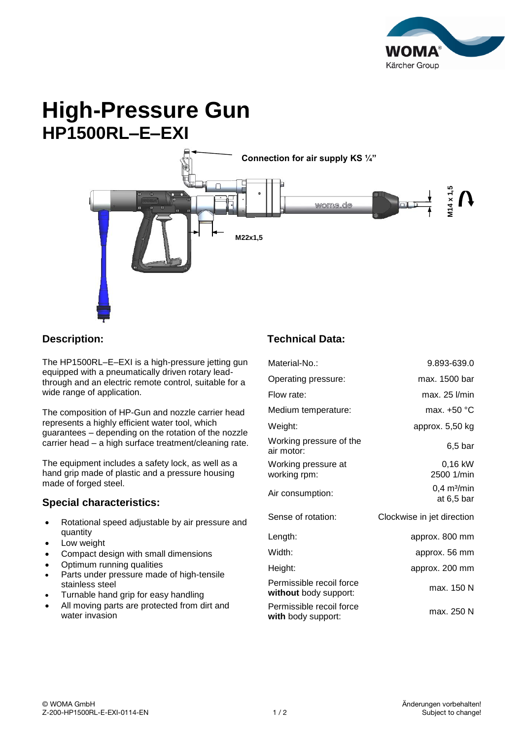

# **High-Pressure Gun HP1500RL–E–EXI**



### **Description:**

The HP1500RL–E–EXI is a high-pressure jetting gun equipped with a pneumatically driven rotary leadthrough and an electric remote control, suitable for a wide range of application.

The composition of HP-Gun and nozzle carrier head represents a highly efficient water tool, which guarantees – depending on the rotation of the nozzle carrier head – a high surface treatment/cleaning rate.

The equipment includes a safety lock, as well as a hand grip made of plastic and a pressure housing made of forged steel.

#### **Special characteristics:**

- Rotational speed adjustable by air pressure and quantity
- Low weight
- Compact design with small dimensions
- Optimum running qualities
- Parts under pressure made of high-tensile stainless steel
- Turnable hand grip for easy handling
- All moving parts are protected from dirt and water invasion

## **Technical Data:**

| woma.de                                           | 4x1,5<br>$\circ$<br>$\Box$                |  |
|---------------------------------------------------|-------------------------------------------|--|
|                                                   |                                           |  |
|                                                   |                                           |  |
|                                                   |                                           |  |
|                                                   |                                           |  |
| <b>Technical Data:</b>                            |                                           |  |
| Material-No.:                                     | 9.893-639.0                               |  |
| Operating pressure:                               | max. 1500 bar                             |  |
| Flow rate:                                        | max. 25 l/min                             |  |
| Medium temperature:                               | max. +50 °C                               |  |
| Weight:                                           | approx. 5,50 kg                           |  |
| Working pressure of the<br>air motor:             | $6,5$ bar                                 |  |
| Working pressure at<br>working rpm:               | 0,16 kW<br>2500 1/min                     |  |
| Air consumption:                                  | $0,4$ m <sup>3</sup> /min<br>at $6,5$ bar |  |
| Sense of rotation:                                | Clockwise in jet direction                |  |
| Length:                                           | approx. 800 mm                            |  |
| Width:                                            | approx. 56 mm                             |  |
| Height:                                           | approx. 200 mm                            |  |
| Permissible recoil force<br>without body support: | max. 150 N                                |  |
| Permissible recoil force<br>with body support:    | max. 250 N                                |  |